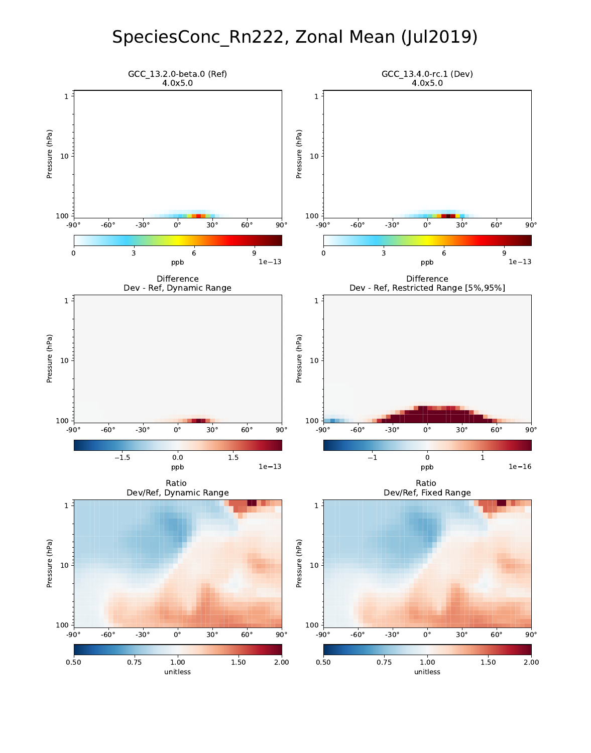# SpeciesConc\_Rn222, Zonal Mean (Jul2019)

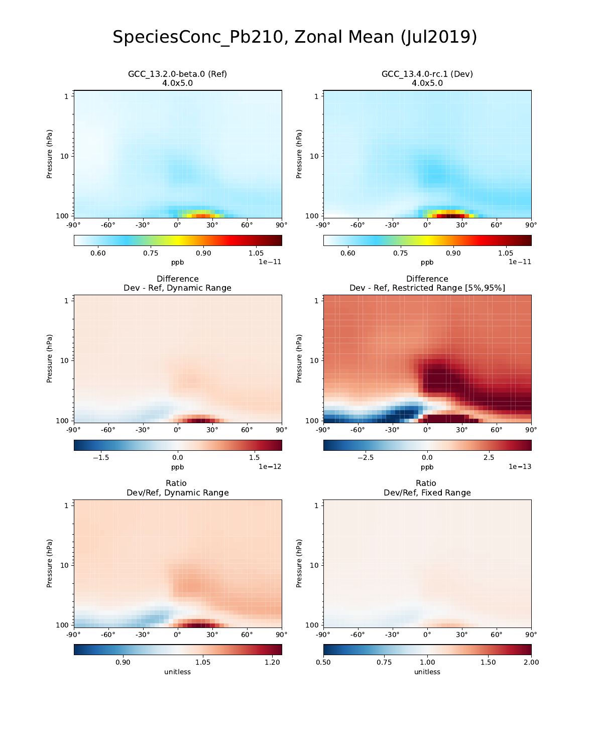# SpeciesConc\_Pb210, Zonal Mean (Jul2019)

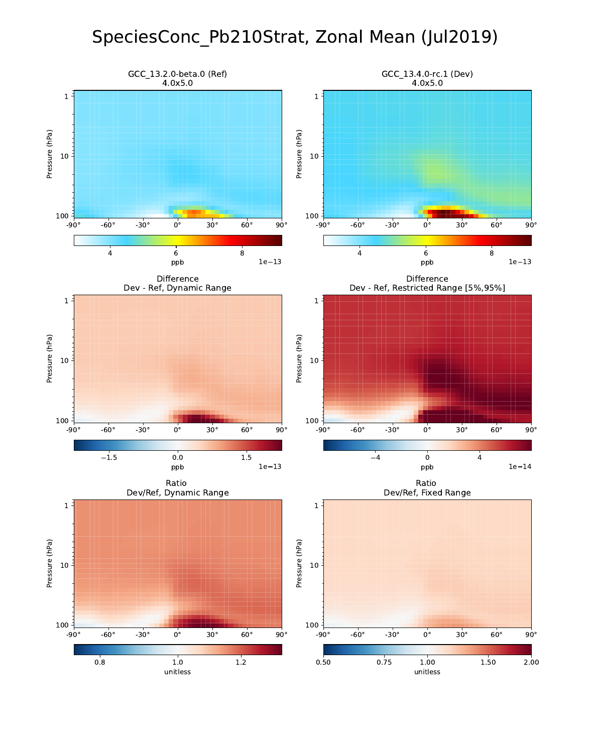# SpeciesConc\_Pb210Strat, Zonal Mean (Jul2019)

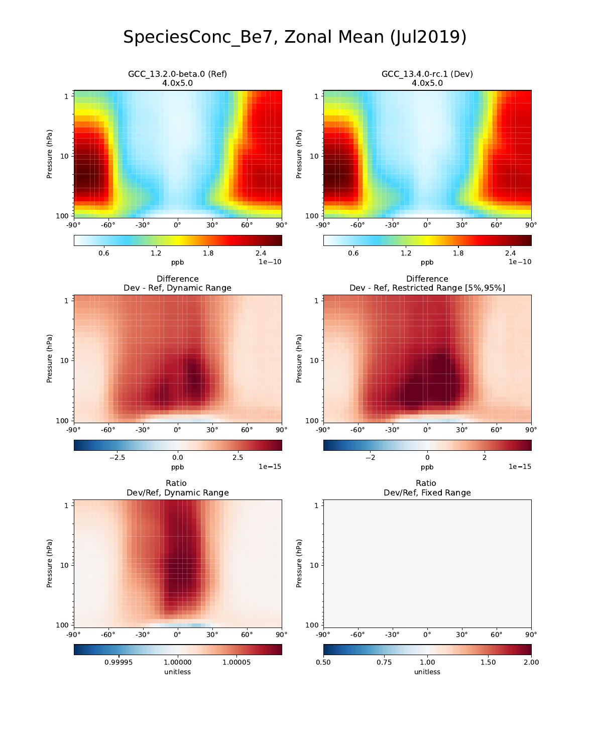# SpeciesConc\_Be7, Zonal Mean (Jul2019)

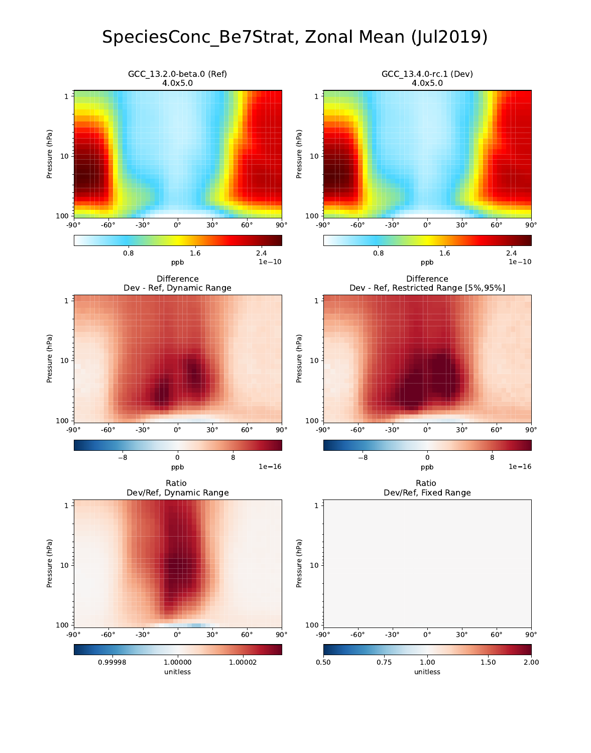# SpeciesConc\_Be7Strat, Zonal Mean (Jul2019)

![](_page_4_Figure_1.jpeg)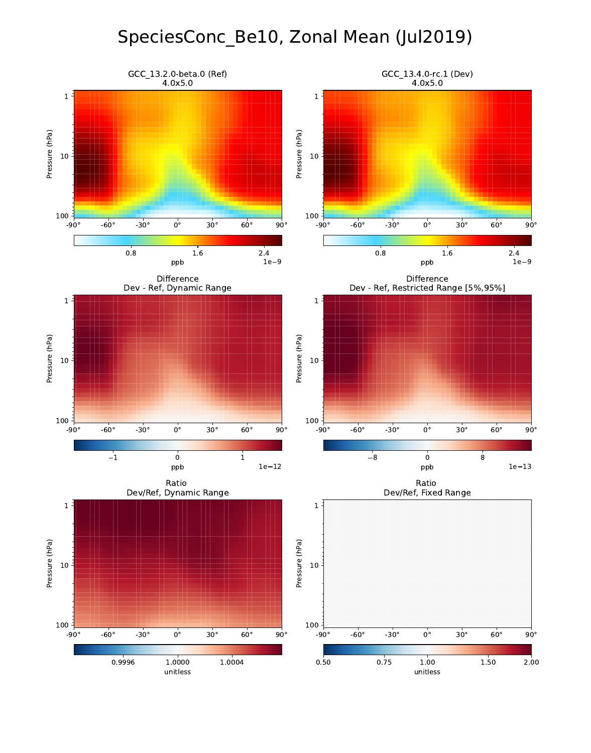# SpeciesConc\_Be10, Zonal Mean (Jul2019)

![](_page_5_Figure_1.jpeg)